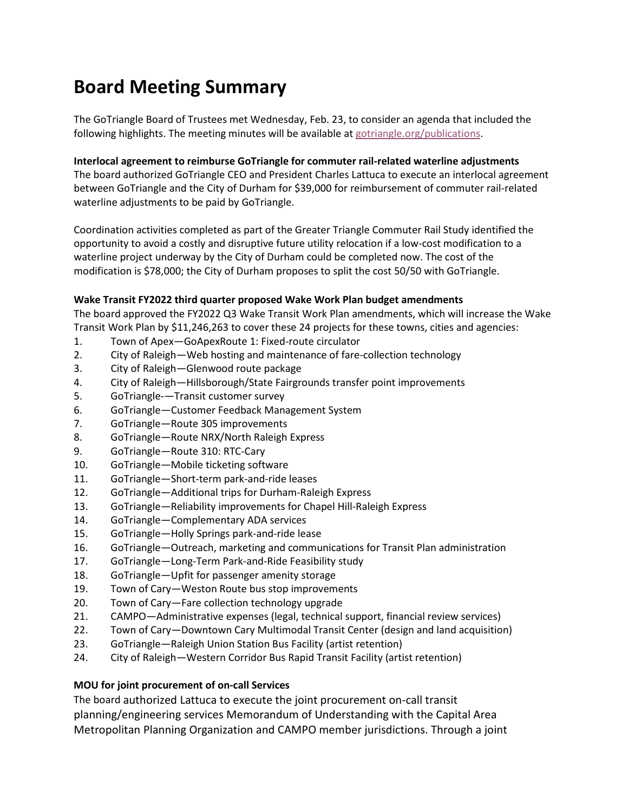# **Board Meeting Summary**

The GoTriangle Board of Trustees met Wednesday, Feb. 23, to consider an agenda that included the following highlights. The meeting minutes will be available at [gotriangle.org/publications.](https://gotriangle.org/publications)

#### **Interlocal agreement to reimburse GoTriangle for commuter rail-related waterline adjustments**

The board authorized GoTriangle CEO and President Charles Lattuca to execute an interlocal agreement between GoTriangle and the City of Durham for \$39,000 for reimbursement of commuter rail-related waterline adjustments to be paid by GoTriangle.

Coordination activities completed as part of the Greater Triangle Commuter Rail Study identified the opportunity to avoid a costly and disruptive future utility relocation if a low-cost modification to a waterline project underway by the City of Durham could be completed now. The cost of the modification is \$78,000; the City of Durham proposes to split the cost 50/50 with GoTriangle.

### **Wake Transit FY2022 third quarter proposed Wake Work Plan budget amendments**

The board approved the FY2022 Q3 Wake Transit Work Plan amendments, which will increase the Wake Transit Work Plan by \$11,246,263 to cover these 24 projects for these towns, cities and agencies:

- 1. Town of Apex—GoApexRoute 1: Fixed-route circulator
- 2. City of Raleigh—Web hosting and maintenance of fare-collection technology
- 3. City of Raleigh—Glenwood route package
- 4. City of Raleigh—Hillsborough/State Fairgrounds transfer point improvements
- 5. GoTriangle-—Transit customer survey
- 6. GoTriangle—Customer Feedback Management System
- 7. GoTriangle—Route 305 improvements
- 8. GoTriangle—Route NRX/North Raleigh Express
- 9. GoTriangle—Route 310: RTC-Cary
- 10. GoTriangle—Mobile ticketing software
- 11. GoTriangle—Short-term park-and-ride leases
- 12. GoTriangle—Additional trips for Durham-Raleigh Express
- 13. GoTriangle—Reliability improvements for Chapel Hill-Raleigh Express
- 14. GoTriangle—Complementary ADA services
- 15. GoTriangle—Holly Springs park-and-ride lease
- 16. GoTriangle—Outreach, marketing and communications for Transit Plan administration
- 17. GoTriangle—Long-Term Park-and-Ride Feasibility study
- 18. GoTriangle—Upfit for passenger amenity storage
- 19. Town of Cary—Weston Route bus stop improvements
- 20. Town of Cary—Fare collection technology upgrade
- 21. CAMPO—Administrative expenses (legal, technical support, financial review services)
- 22. Town of Cary—Downtown Cary Multimodal Transit Center (design and land acquisition)
- 23. GoTriangle—Raleigh Union Station Bus Facility (artist retention)
- 24. City of Raleigh—Western Corridor Bus Rapid Transit Facility (artist retention)

## **MOU for joint procurement of on-call Services**

The board authorized Lattuca to execute the joint procurement on-call transit planning/engineering services Memorandum of Understanding with the Capital Area Metropolitan Planning Organization and CAMPO member jurisdictions. Through a joint